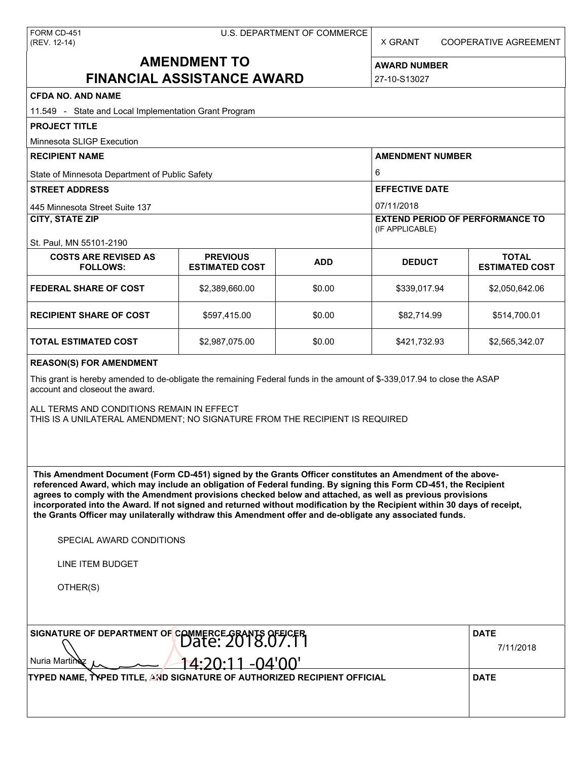X GRANT COOPERATIVE AGREEMENT

# **AMENDMENT TO FINANCIAL ASSISTANCE AWARD**

**AWARD NUMBER** 27-10-S13027

| <b>CFDA NO. AND NAME</b>                                                                                                                                                                                                                                                                                                                                                                                                                                                                                                                                                                                      |                                          |             |                                                           |                                       |  |  |
|---------------------------------------------------------------------------------------------------------------------------------------------------------------------------------------------------------------------------------------------------------------------------------------------------------------------------------------------------------------------------------------------------------------------------------------------------------------------------------------------------------------------------------------------------------------------------------------------------------------|------------------------------------------|-------------|-----------------------------------------------------------|---------------------------------------|--|--|
| 11.549 - State and Local Implementation Grant Program                                                                                                                                                                                                                                                                                                                                                                                                                                                                                                                                                         |                                          |             |                                                           |                                       |  |  |
| <b>PROJECT TITLE</b>                                                                                                                                                                                                                                                                                                                                                                                                                                                                                                                                                                                          |                                          |             |                                                           |                                       |  |  |
| Minnesota SLIGP Execution                                                                                                                                                                                                                                                                                                                                                                                                                                                                                                                                                                                     |                                          |             |                                                           |                                       |  |  |
| <b>RECIPIENT NAME</b>                                                                                                                                                                                                                                                                                                                                                                                                                                                                                                                                                                                         |                                          |             | <b>AMENDMENT NUMBER</b>                                   |                                       |  |  |
| State of Minnesota Department of Public Safety                                                                                                                                                                                                                                                                                                                                                                                                                                                                                                                                                                |                                          |             | 6                                                         |                                       |  |  |
| <b>STREET ADDRESS</b>                                                                                                                                                                                                                                                                                                                                                                                                                                                                                                                                                                                         |                                          |             | <b>EFFECTIVE DATE</b>                                     |                                       |  |  |
| 445 Minnesota Street Suite 137                                                                                                                                                                                                                                                                                                                                                                                                                                                                                                                                                                                |                                          |             | 07/11/2018                                                |                                       |  |  |
| <b>CITY, STATE ZIP</b>                                                                                                                                                                                                                                                                                                                                                                                                                                                                                                                                                                                        |                                          |             | <b>EXTEND PERIOD OF PERFORMANCE TO</b><br>(IF APPLICABLE) |                                       |  |  |
| St. Paul, MN 55101-2190                                                                                                                                                                                                                                                                                                                                                                                                                                                                                                                                                                                       |                                          |             |                                                           |                                       |  |  |
| <b>COSTS ARE REVISED AS</b><br><b>FOLLOWS:</b>                                                                                                                                                                                                                                                                                                                                                                                                                                                                                                                                                                | <b>PREVIOUS</b><br><b>ESTIMATED COST</b> | <b>ADD</b>  | <b>DEDUCT</b>                                             | <b>TOTAL</b><br><b>ESTIMATED COST</b> |  |  |
| <b>FEDERAL SHARE OF COST</b>                                                                                                                                                                                                                                                                                                                                                                                                                                                                                                                                                                                  | \$2,389,660.00                           | \$0.00      | \$339,017.94                                              | \$2,050,642.06                        |  |  |
| <b>RECIPIENT SHARE OF COST</b>                                                                                                                                                                                                                                                                                                                                                                                                                                                                                                                                                                                | \$597,415.00                             | \$0.00      | \$82,714.99                                               | \$514,700.01                          |  |  |
| TOTAL ESTIMATED COST                                                                                                                                                                                                                                                                                                                                                                                                                                                                                                                                                                                          | \$2,987,075.00                           | \$0.00      | \$421,732.93                                              | \$2,565,342.07                        |  |  |
| <b>REASON(S) FOR AMENDMENT</b>                                                                                                                                                                                                                                                                                                                                                                                                                                                                                                                                                                                |                                          |             |                                                           |                                       |  |  |
| This grant is hereby amended to de-obligate the remaining Federal funds in the amount of \$-339,017.94 to close the ASAP<br>account and closeout the award.                                                                                                                                                                                                                                                                                                                                                                                                                                                   |                                          |             |                                                           |                                       |  |  |
| ALL TERMS AND CONDITIONS REMAIN IN EFFECT<br>THIS IS A UNILATERAL AMENDMENT; NO SIGNATURE FROM THE RECIPIENT IS REQUIRED                                                                                                                                                                                                                                                                                                                                                                                                                                                                                      |                                          |             |                                                           |                                       |  |  |
| This Amendment Document (Form CD-451) signed by the Grants Officer constitutes an Amendment of the above-<br>referenced Award, which may include an obligation of Federal funding. By signing this Form CD-451, the Recipient<br>agrees to comply with the Amendment provisions checked below and attached, as well as previous provisions<br>incorporated into the Award. If not signed and returned without modification by the Recipient within 30 days of receipt,<br>the Grants Officer may unilaterally withdraw this Amendment offer and de-obligate any associated funds.<br>SPECIAL AWARD CONDITIONS |                                          |             |                                                           |                                       |  |  |
| LINE ITEM BUDGET                                                                                                                                                                                                                                                                                                                                                                                                                                                                                                                                                                                              |                                          |             |                                                           |                                       |  |  |
| OTHER(S)                                                                                                                                                                                                                                                                                                                                                                                                                                                                                                                                                                                                      |                                          |             |                                                           |                                       |  |  |
|                                                                                                                                                                                                                                                                                                                                                                                                                                                                                                                                                                                                               |                                          |             |                                                           |                                       |  |  |
| SIGNATURE OF DEPARTMENT OF COMMERCE GRANTS OFFICER                                                                                                                                                                                                                                                                                                                                                                                                                                                                                                                                                            | <b>DATE</b><br>7/11/2018                 |             |                                                           |                                       |  |  |
| Nuria Martin<br>$4:20:11 - 04'00'$                                                                                                                                                                                                                                                                                                                                                                                                                                                                                                                                                                            |                                          |             |                                                           |                                       |  |  |
| TYPED NAME, TYPED TITLE, AND SIGNATURE OF AUTHORIZED RECIPIENT OFFICIAL                                                                                                                                                                                                                                                                                                                                                                                                                                                                                                                                       |                                          | <b>DATE</b> |                                                           |                                       |  |  |
|                                                                                                                                                                                                                                                                                                                                                                                                                                                                                                                                                                                                               |                                          |             |                                                           |                                       |  |  |